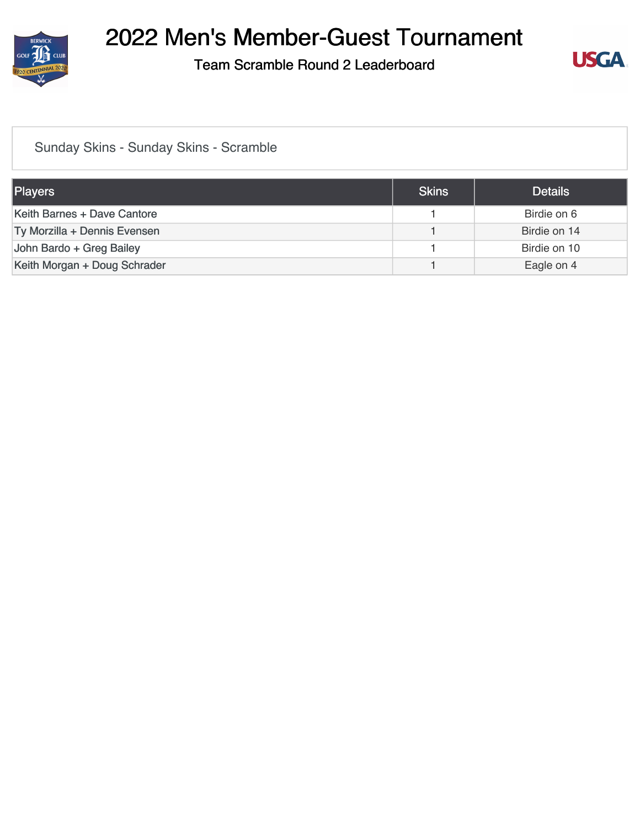

Team Scramble Round 2 Leaderboard



### [Sunday Skins - Sunday Skins - Scramble](https://static.golfgenius.com/v2tournaments/8468121065229405324?called_from=&round_index=2)

| Players                      | <b>Skins</b> | <b>Details</b> |
|------------------------------|--------------|----------------|
| Keith Barnes + Dave Cantore  |              | Birdie on 6    |
| Ty Morzilla + Dennis Evensen |              | Birdie on 14   |
| John Bardo + Greg Bailey     |              | Birdie on 10   |
| Keith Morgan + Doug Schrader |              | Eagle on 4     |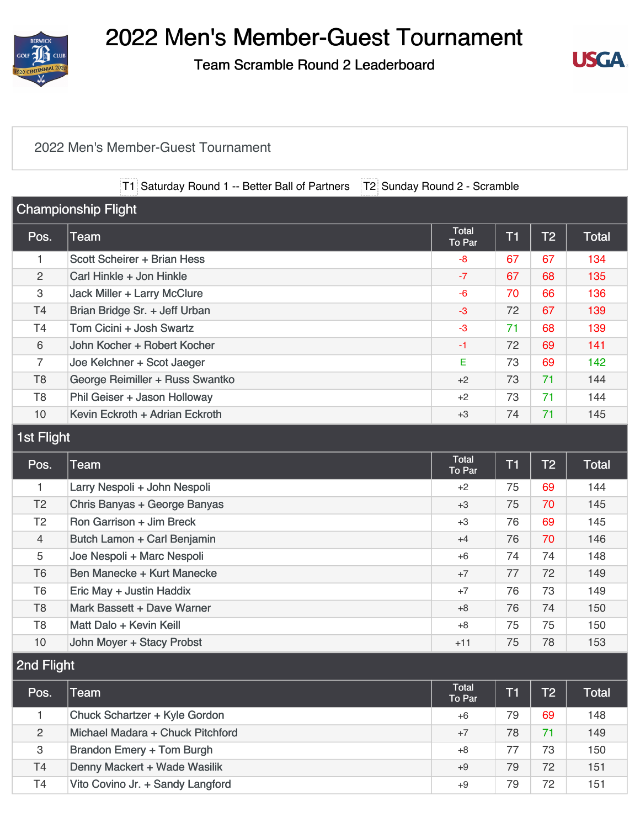

Team Scramble Round 2 Leaderboard



#### [2022 Men's Member-Guest Tournament](https://static.golfgenius.com/v2tournaments/8468121069994134669?called_from=&round_index=2)

T1 Saturday Round 1 -- Better Ball of Partners T2 Sunday Round 2 - Scramble

| <b>Championship Flight</b> |                                    |                        |                |                |              |  |
|----------------------------|------------------------------------|------------------------|----------------|----------------|--------------|--|
| Pos.                       | <b>Team</b>                        | <b>Total</b><br>To Par | T <sub>1</sub> | T <sub>2</sub> | <b>Total</b> |  |
| 1                          | Scott Scheirer + Brian Hess        | $-8$                   | 67             | 67             | 134          |  |
| 2                          | Carl Hinkle + Jon Hinkle           | $-7$                   | 67             | 68             | 135          |  |
| 3                          | <b>Jack Miller + Larry McClure</b> | $-6$                   | 70             | 66             | 136          |  |
| <b>T4</b>                  | Brian Bridge Sr. + Jeff Urban      | $-3$                   | 72             | 67             | 139          |  |
| T4                         | Tom Cicini + Josh Swartz           | $-3$                   | 71             | 68             | 139          |  |
| 6                          | John Kocher + Robert Kocher        | $-1$                   | 72             | 69             | 141          |  |
| $\overline{7}$             | Joe Kelchner + Scot Jaeger         | E                      | 73             | 69             | 142          |  |
| T <sub>8</sub>             | George Reimiller + Russ Swantko    | $+2$                   | 73             | 71             | 144          |  |
| T <sub>8</sub>             | Phil Geiser + Jason Holloway       | $+2$                   | 73             | 71             | 144          |  |
| 10                         | Kevin Eckroth + Adrian Eckroth     | $+3$                   | 74             | 71             | 145          |  |
| 1st Flight                 |                                    |                        |                |                |              |  |
| Pos.                       | <b>Team</b>                        | <b>Total</b><br>To Par | T <sub>1</sub> | T <sub>2</sub> | Total        |  |
| 1                          | Larry Nespoli + John Nespoli       | $+2$                   | 75             | 69             | 144          |  |
| T <sub>2</sub>             | Chris Banyas + George Banyas       | $+3$                   | 75             | 70             | 145          |  |
| T <sub>2</sub>             | Ron Garrison + Jim Breck           | $+3$                   | 76             | 69             | 145          |  |
| 4                          | Butch Lamon + Carl Benjamin        | $+4$                   | 76             | 70             | 146          |  |

| $\mathbf{r}$   | <b>Daton Edinon I</b> Van Donjaniin | .     | $\sim$ | , , | $\sim$ |
|----------------|-------------------------------------|-------|--------|-----|--------|
| 5              | Joe Nespoli + Marc Nespoli          | $+6$  | 74     | 74  | 148    |
| T6             | Ben Manecke + Kurt Manecke          | $+7$  |        | 72  | 149    |
| T <sub>6</sub> | <b>Eric May + Justin Haddix</b>     | $+7$  | 76     | 73  | 149    |
| T8             | Mark Bassett + Dave Warner          | $+8$  | 76     | 74  | 150    |
| T8             | Matt Dalo + Kevin Keill             | +8    | 75     | 75  | 150    |
| 10             | John Moyer + Stacy Probst           | $+11$ | 75     | 78  | 153    |

2nd Flight

| Pos.           | Геаm                             | <b>Total</b><br>To Par | $\mathsf{T1}$ | T <sub>2</sub> | Total |
|----------------|----------------------------------|------------------------|---------------|----------------|-------|
|                | Chuck Schartzer + Kyle Gordon    | $+6$                   | 79            | 69             | 148   |
| 2              | Michael Madara + Chuck Pitchford | $+7$                   | 78            | 71             | 149   |
| 3              | <b>Brandon Emery + Tom Burgh</b> | $+8$                   | 77            | 73             | 150   |
| <b>T4</b>      | Denny Mackert + Wade Wasilik     | $+9$                   | 79            | 72             | 151   |
| T <sub>4</sub> | Vito Covino Jr. + Sandy Langford | $+9$                   | 79            | 72             | 151   |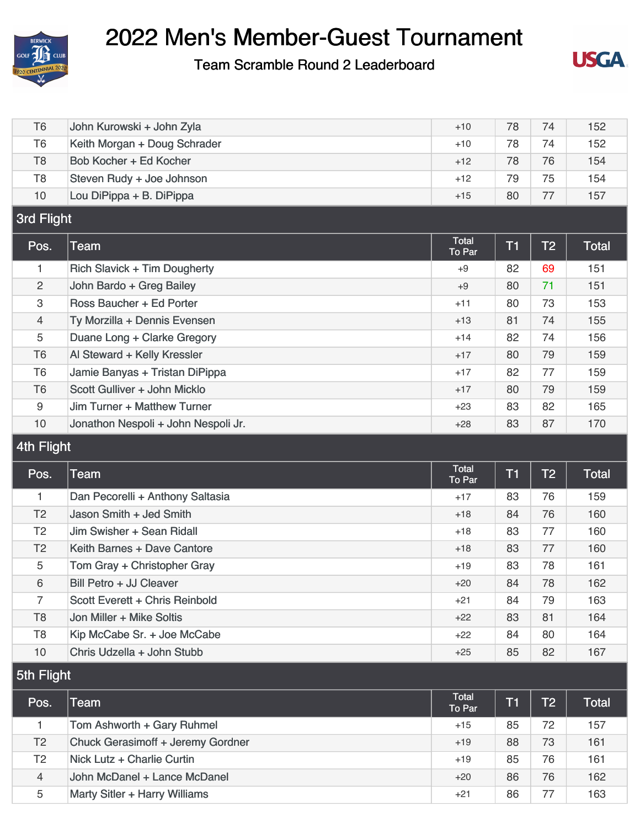

Team Scramble Round 2 Leaderboard



| T <sub>6</sub>    | John Kurowski + John Zyla           | $+10$           | 78             | 74             | 152          |
|-------------------|-------------------------------------|-----------------|----------------|----------------|--------------|
| T <sub>6</sub>    | Keith Morgan + Doug Schrader        | $+10$           | 78             | 74             | 152          |
| T <sub>8</sub>    | Bob Kocher + Ed Kocher              | $+12$           | 78             | 76             | 154          |
| T <sub>8</sub>    | Steven Rudy + Joe Johnson           | $+12$           | 79             | 75             | 154          |
| 10                | Lou DiPippa + B. DiPippa            | $+15$           | 80             | 77             | 157          |
| <b>3rd Flight</b> |                                     |                 |                |                |              |
| Pos.              | <b>Team</b>                         | Total<br>To Par | <b>T1</b>      | T <sub>2</sub> | <b>Total</b> |
| 1                 | <b>Rich Slavick + Tim Dougherty</b> | $+9$            | 82             | 69             | 151          |
| $\overline{2}$    | John Bardo + Greg Bailey            | $+9$            | 80             | 71             | 151          |
| 3                 | Ross Baucher + Ed Porter            | $+11$           | 80             | 73             | 153          |
| $\overline{4}$    | Ty Morzilla + Dennis Evensen        | $+13$           | 81             | 74             | 155          |
| 5                 | Duane Long + Clarke Gregory         | $+14$           | 82             | 74             | 156          |
| T <sub>6</sub>    | Al Steward + Kelly Kressler         | $+17$           | 80             | 79             | 159          |
| T <sub>6</sub>    | Jamie Banyas + Tristan DiPippa      | $+17$           | 82             | 77             | 159          |
| T <sub>6</sub>    | Scott Gulliver + John Micklo        | $+17$           | 80             | 79             | 159          |
| 9                 | Jim Turner + Matthew Turner         | $+23$           | 83             | 82             | 165          |
| 10                | Jonathon Nespoli + John Nespoli Jr. | $+28$           | 83             | 87             | 170          |
| 4th Flight        |                                     |                 |                |                |              |
|                   |                                     |                 |                |                |              |
| Pos.              | Team                                | Total<br>To Par | T <sub>1</sub> | T <sub>2</sub> | Total        |
| $\mathbf{1}$      | Dan Pecorelli + Anthony Saltasia    | $+17$           | 83             | 76             | 159          |
| T <sub>2</sub>    | Jason Smith + Jed Smith             | $+18$           | 84             | 76             | 160          |
| T <sub>2</sub>    | Jim Swisher + Sean Ridall           | $+18$           | 83             | 77             | 160          |
| T <sub>2</sub>    | Keith Barnes + Dave Cantore         | $+18$           | 83             | 77             | 160          |
| 5                 | Tom Gray + Christopher Gray         | +19             | 83             | 78             | 161          |
| 6                 | Bill Petro + JJ Cleaver             | $+20$           | 84             | 78             | 162          |
| $\overline{7}$    | Scott Everett + Chris Reinbold      | $+21$           | 84             | 79             | 163          |
| T <sub>8</sub>    | Jon Miller + Mike Soltis            | $+22$           | 83             | 81             | 164          |
| T <sub>8</sub>    | Kip McCabe Sr. + Joe McCabe         | $+22$           | 84             | 80             | 164          |
| 10                | Chris Udzella + John Stubb          | $+25$           | 85             | 82             | 167          |
| 5th Flight        |                                     |                 |                |                |              |
| Pos.              | <b>Team</b>                         | Total<br>To Par | <b>T1</b>      | T <sub>2</sub> | <b>Total</b> |
| $\mathbf{1}$      | Tom Ashworth + Gary Ruhmel          | $+15$           | 85             | 72             | 157          |
| T <sub>2</sub>    | Chuck Gerasimoff + Jeremy Gordner   | $+19$           | 88             | 73             | 161          |
| T <sub>2</sub>    | Nick Lutz + Charlie Curtin          | $+19$           | 85             | 76             | 161          |
| $\overline{4}$    | John McDanel + Lance McDanel        | $+20$           | 86             | 76             | 162          |